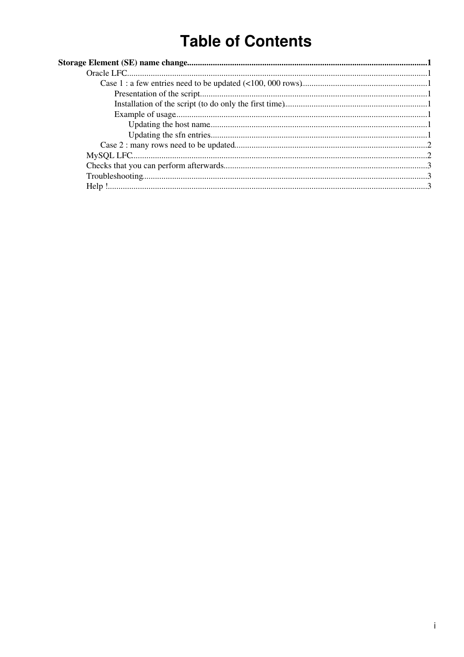# **Table of Contents**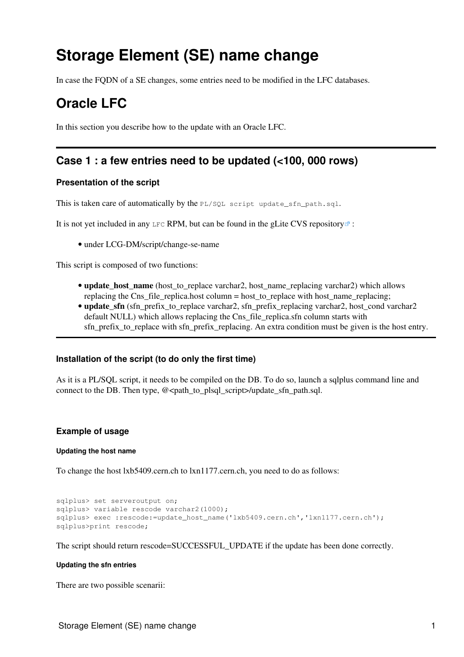# <span id="page-1-0"></span>**Storage Element (SE) name change**

In case the FQDN of a SE changes, some entries need to be modified in the LFC databases.

## <span id="page-1-1"></span>**Oracle LFC**

In this section you describe how to the update with an Oracle LFC.

### <span id="page-1-2"></span>**Case 1 : a few entries need to be updated (<100, 000 rows)**

#### <span id="page-1-3"></span>**Presentation of the script**

This is taken care of automatically by the PL/SQL script update\_sfn\_path.sql.

It is not yet included in any LFC RPM, but can be found in the [gLite CVS repository](http://jra1mw.cvs.cern.ch:8180/cgi-bin/jra1mw.cgi//LCG-DM/scripts/change-se-name/)  $\mathbb{F}$  :

• under LCG-DM/script/change-se-name

This script is composed of two functions:

- **update\_host\_name** (host\_to\_replace varchar2, host\_name\_replacing varchar2) which allows replacing the Cns file replica.host column = host to replace with host name replacing;
- update\_sfn (sfn\_prefix\_to\_replace varchar2, sfn\_prefix\_replacing varchar2, host\_cond varchar2 default NULL) which allows replacing the Cns\_file\_replica.sfn column starts with sfn\_prefix\_to\_replace with sfn\_prefix\_replacing. An extra condition must be given is the host entry.

#### <span id="page-1-4"></span>**Installation of the script (to do only the first time)**

As it is a PL/SQL script, it needs to be compiled on the DB. To do so, launch a sqlplus command line and connect to the DB. Then type, @<path\_to\_plsql\_script>/update\_sfn\_path.sql.

#### <span id="page-1-5"></span>**Example of usage**

#### <span id="page-1-6"></span>**Updating the host name**

To change the host lxb5409.cern.ch to lxn1177.cern.ch, you need to do as follows:

```
sqlplus> set serveroutput on;
sqlplus> variable rescode varchar2(1000);
sqlplus> exec :rescode:=update_host_name('lxb5409.cern.ch','lxn1177.cern.ch');
sqlplus>print rescode;
```
The script should return rescode=SUCCESSFUL\_UPDATE if the update has been done correctly.

#### <span id="page-1-7"></span>**Updating the sfn entries**

There are two possible scenarii: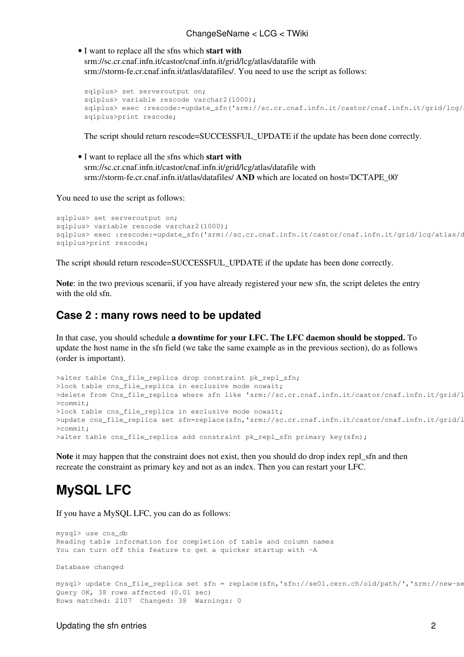I want to replace all the sfns which **start with** • srm://sc.cr.cnaf.infn.it/castor/cnaf.infn.it/grid/lcg/atlas/datafile with srm://storm-fe.cr.cnaf.infn.it/atlas/datafiles/. You need to use the script as follows:

```
sqlplus> set serveroutput on;
sqlplus> variable rescode varchar2(1000);
sqlplus> exec :rescode:=update_sfn('srm://sc.cr.cnaf.infn.it/castor/cnaf.infn.it/grid/lcg/
sqlplus>print rescode;
```
The script should return rescode=SUCCESSFUL\_UPDATE if the update has been done correctly.

I want to replace all the sfns which **start with** • srm://sc.cr.cnaf.infn.it/castor/cnaf.infn.it/grid/lcg/atlas/datafile with srm://storm-fe.cr.cnaf.infn.it/atlas/datafiles/ **AND** which are located on host='DCTAPE\_00'

You need to use the script as follows:

```
sqlplus> set serveroutput on;
sqlplus> variable rescode varchar2(1000);
sqlplus> exec :rescode:=update_sfn('srm://sc.cr.cnaf.infn.it/castor/cnaf.infn.it/grid/lcg/atlas/d
sqlplus>print rescode;
```
The script should return rescode=SUCCESSFUL\_UPDATE if the update has been done correctly.

**Note**: in the two previous scenarii, if you have already registered your new sfn, the script deletes the entry with the old sfn.

### <span id="page-2-0"></span>**Case 2 : many rows need to be updated**

In that case, you should schedule **a downtime for your LFC. The LFC daemon should be stopped.** To update the host name in the sfn field (we take the same example as in the previous section), do as follows (order is important).

```
>alter table Cns_file_replica drop constraint pk_repl_sfn;
>lock table cns_file_replica in exclusive mode nowait;
>delete from Cns_file_replica where sfn like 'srm://sc.cr.cnaf.infn.it/castor/cnaf.infn.it/grid/l
>commit;
>lock table cns_file_replica in exclusive mode nowait;
>update cns_file_replica set sfn=replace(sfn,'srm://sc.cr.cnaf.infn.it/castor/cnaf.infn.it/grid/l
>commit;
>alter table cns_file_replica add constraint pk_repl_sfn primary key(sfn);
```
**Note** it may happen that the constraint does not exist, then you should do drop index repl\_sfn and then recreate the constraint as primary key and not as an index. Then you can restart your LFC.

## <span id="page-2-1"></span>**MySQL LFC**

If you have a MySQL LFC, you can do as follows:

```
mysql> use cns_db
Reading table information for completion of table and column names
You can turn off this feature to get a quicker startup with -A
Database changed
mysql> update Cns_file_replica set sfn = replace(sfn,'sfn://se01.cern.ch/old/path/','srm://new-se
Query OK, 38 rows affected (0.01 sec)
Rows matched: 2107 Changed: 38 Warnings: 0
```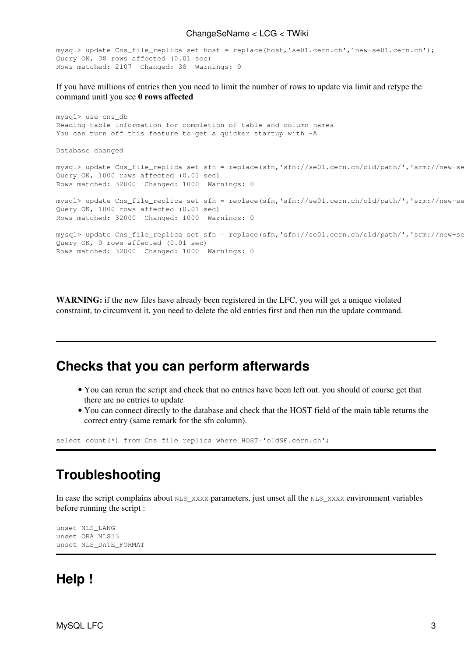#### ChangeSeName < LCG < TWiki

```
mysql> update Cns_file_replica set host = replace(host,'se01.cern.ch','new-se01.cern.ch');
Query OK, 38 rows affected (0.01 sec)
Rows matched: 2107 Changed: 38 Warnings: 0
```
If you have millions of entries then you need to limit the number of rows to update via limit and retype the command unitl you see **0 rows affected**

```
mysql> use cns_db
Reading table information for completion of table and column names
You can turn off this feature to get a quicker startup with -A
Database changed
mysql> update Cns_file_replica set sfn = replace(sfn,'sfn://se01.cern.ch/old/path/','srm://new-se
Query OK, 1000 rows affected (0.01 sec)
Rows matched: 32000 Changed: 1000 Warnings: 0
mysql> update Cns_file_replica set sfn = replace(sfn,'sfn://se01.cern.ch/old/path/','srm://new-se
Query OK, 1000 rows affected (0.01 sec)
Rows matched: 32000 Changed: 1000 Warnings: 0
mysql> update Cns_file_replica set sfn = replace(sfn,'sfn://se01.cern.ch/old/path/','srm://new-se
Query OK, 0 rows affected (0.01 sec)
Rows matched: 32000 Changed: 1000 Warnings: 0
```
**WARNING:** if the new files have already been registered in the LFC, you will get a unique violated constraint, to circumvent it, you need to delete the old entries first and then run the update command.

### <span id="page-3-0"></span>**Checks that you can perform afterwards**

- You can rerun the script and check that no entries have been left out. you should of course get that there are no entries to update
- You can connect directly to the database and check that the HOST field of the main table returns the correct entry (same remark for the sfn column).

```
select count(*) from Cns_file_replica where HOST='oldSE.cern.ch';
```
### <span id="page-3-1"></span>**Troubleshooting**

In case the script complains about  $NLS_XXXX$  parameters, just unset all the  $NLS_XXXX$  environment variables before running the script :

unset NLS\_LANG unset ORA\_NLS33 unset NLS\_DATE\_FORMAT

## <span id="page-3-2"></span>**Help !**